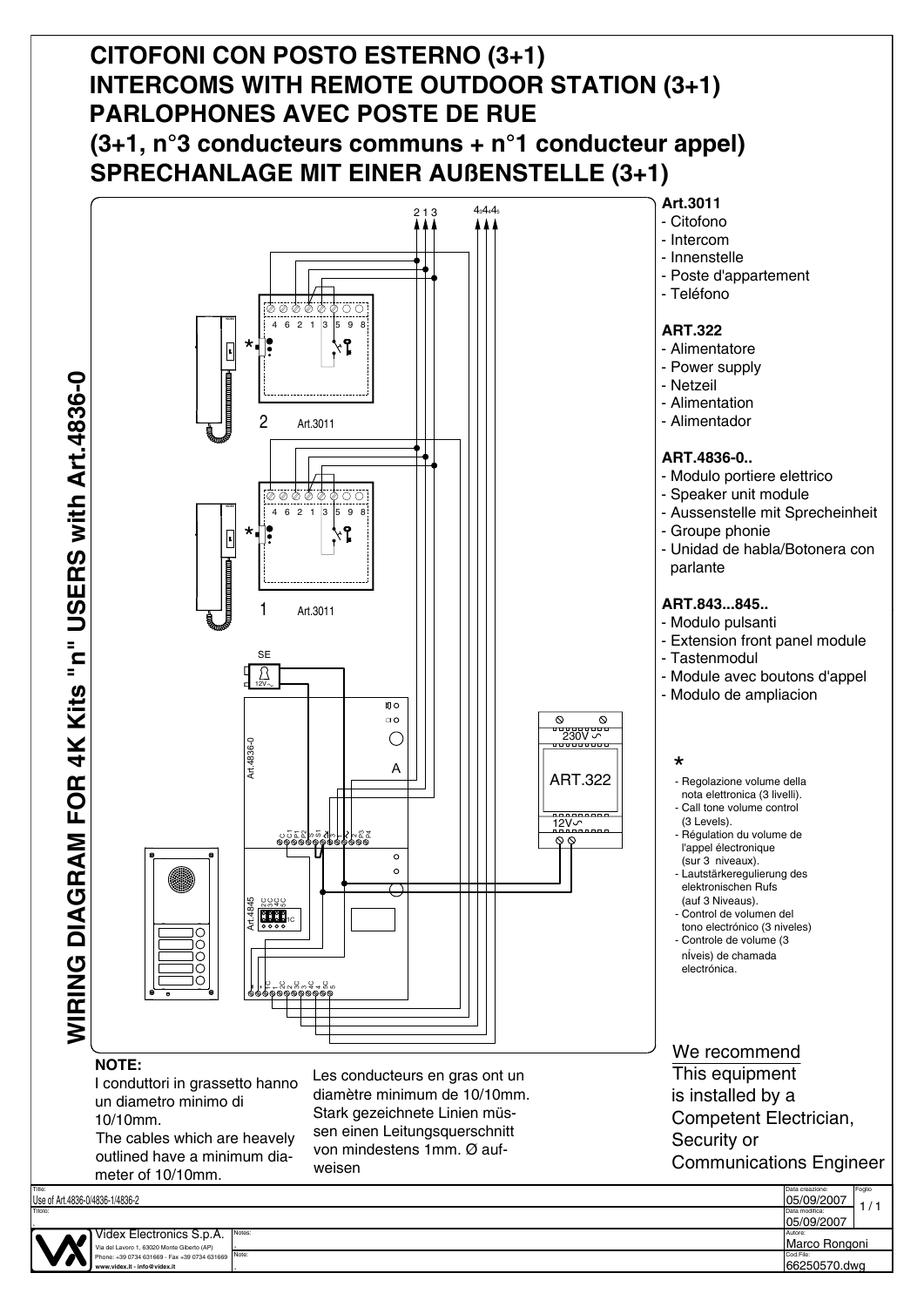## **CITOFONI CON POSTO ESTERNO (3+1) INTERCOMS WITH REMOTE OUTDOOR STATION (3+1) PARLOPHONES AVEC POSTE DE RUE (3+1, n°3 conducteurs communs + n°1 conducteur appel) SPRECHANLAGE MIT EINER AUßENSTELLE (3+1)**



Stark gezeichnete Linien müssen einen Leitungsquerschnitt von mindestens 1mm. Ø auf-

weisen

is installed by a Competent Electrician, Security or Communications Engineer



Videx Electronics S.p.A. Via del Lavoro 1, 63020 Monte Giberto (AP) Phone: +39 0734 631669 - Fax +39 0734 631669

meter of 10/10mm.

un diametro minimo di

The cables which are heavely outlined have a minimum dia-

10/10mm.

Notes:

.

.

**www.videx.it - info@videx.it**

Titolo:

Use of Art.4836-0/4836-1/4836-2

.